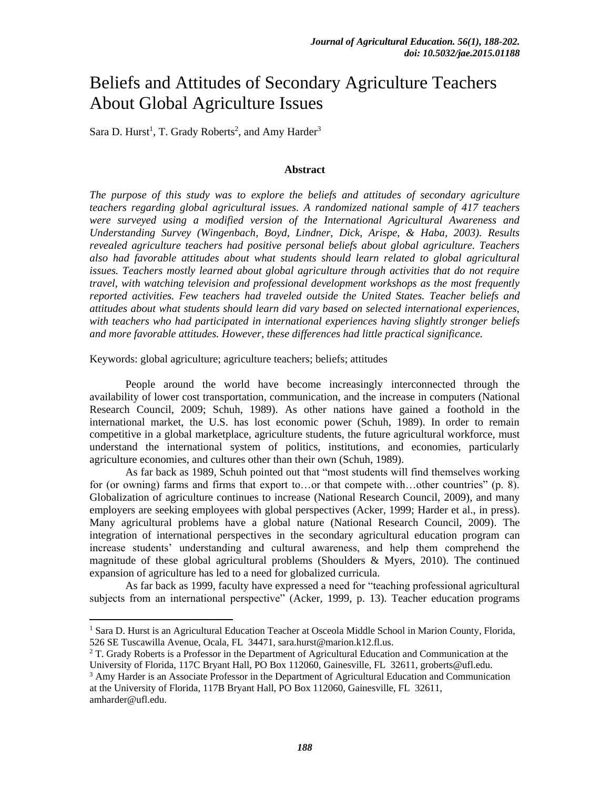# Beliefs and Attitudes of Secondary Agriculture Teachers About Global Agriculture Issues

Sara D. Hurst<sup>1</sup>, T. Grady Roberts<sup>2</sup>, and Amy Harder<sup>3</sup>

#### **Abstract**

*The purpose of this study was to explore the beliefs and attitudes of secondary agriculture teachers regarding global agricultural issues. A randomized national sample of 417 teachers were surveyed using a modified version of the International Agricultural Awareness and Understanding Survey (Wingenbach, Boyd, Lindner, Dick, Arispe, & Haba, 2003). Results revealed agriculture teachers had positive personal beliefs about global agriculture. Teachers also had favorable attitudes about what students should learn related to global agricultural issues. Teachers mostly learned about global agriculture through activities that do not require travel, with watching television and professional development workshops as the most frequently reported activities. Few teachers had traveled outside the United States. Teacher beliefs and attitudes about what students should learn did vary based on selected international experiences, with teachers who had participated in international experiences having slightly stronger beliefs and more favorable attitudes. However, these differences had little practical significance.*

Keywords: global agriculture; agriculture teachers; beliefs; attitudes

People around the world have become increasingly interconnected through the availability of lower cost transportation, communication, and the increase in computers (National Research Council, 2009; Schuh, 1989). As other nations have gained a foothold in the international market, the U.S. has lost economic power (Schuh, 1989). In order to remain competitive in a global marketplace, agriculture students, the future agricultural workforce, must understand the international system of politics, institutions, and economies, particularly agriculture economies, and cultures other than their own (Schuh, 1989).

As far back as 1989, Schuh pointed out that "most students will find themselves working for (or owning) farms and firms that export to…or that compete with…other countries" (p. 8). Globalization of agriculture continues to increase (National Research Council, 2009), and many employers are seeking employees with global perspectives (Acker, 1999; Harder et al., in press). Many agricultural problems have a global nature (National Research Council, 2009). The integration of international perspectives in the secondary agricultural education program can increase students' understanding and cultural awareness, and help them comprehend the magnitude of these global agricultural problems (Shoulders  $\&$  Myers, 2010). The continued expansion of agriculture has led to a need for globalized curricula.

As far back as 1999, faculty have expressed a need for "teaching professional agricultural subjects from an international perspective" (Acker, 1999, p. 13). Teacher education programs

amharder@ufl.edu.

l

<sup>&</sup>lt;sup>1</sup> Sara D. Hurst is an Agricultural Education Teacher at Osceola Middle School in Marion County, Florida, 526 SE Tuscawilla Avenue, Ocala, FL 34471, sara.hurst@marion.k12.fl.us.

 $2$  T. Grady Roberts is a Professor in the Department of Agricultural Education and Communication at the University of Florida, 117C Bryant Hall, PO Box 112060, Gainesville, FL 32611, groberts@ufl.edu.

<sup>&</sup>lt;sup>3</sup> Amy Harder is an Associate Professor in the Department of Agricultural Education and Communication at the University of Florida, 117B Bryant Hall, PO Box 112060, Gainesville, FL 32611,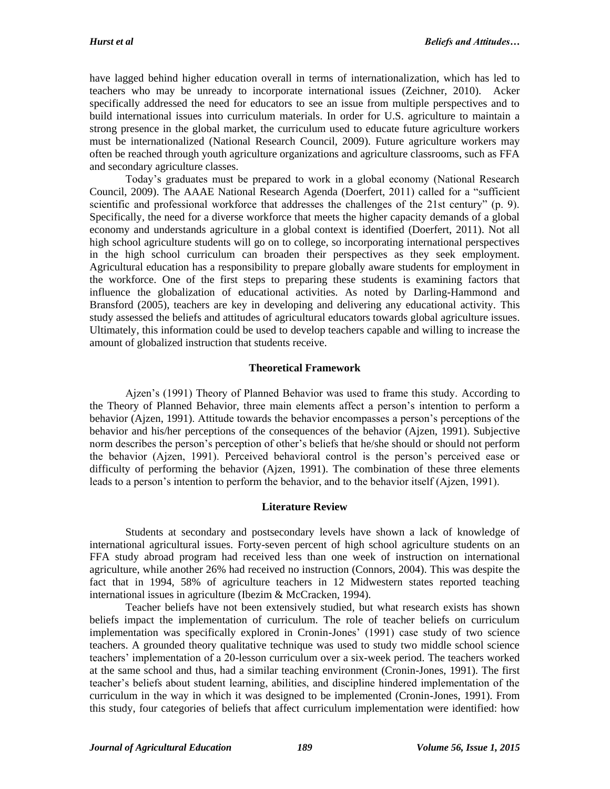have lagged behind higher education overall in terms of internationalization, which has led to teachers who may be unready to incorporate international issues (Zeichner, 2010). Acker specifically addressed the need for educators to see an issue from multiple perspectives and to build international issues into curriculum materials. In order for U.S. agriculture to maintain a strong presence in the global market, the curriculum used to educate future agriculture workers must be internationalized (National Research Council, 2009). Future agriculture workers may often be reached through youth agriculture organizations and agriculture classrooms, such as FFA and secondary agriculture classes.

Today's graduates must be prepared to work in a global economy (National Research Council, 2009). The AAAE National Research Agenda (Doerfert, 2011) called for a "sufficient scientific and professional workforce that addresses the challenges of the 21st century" (p. 9). Specifically, the need for a diverse workforce that meets the higher capacity demands of a global economy and understands agriculture in a global context is identified (Doerfert, 2011). Not all high school agriculture students will go on to college, so incorporating international perspectives in the high school curriculum can broaden their perspectives as they seek employment. Agricultural education has a responsibility to prepare globally aware students for employment in the workforce. One of the first steps to preparing these students is examining factors that influence the globalization of educational activities. As noted by Darling-Hammond and Bransford (2005), teachers are key in developing and delivering any educational activity. This study assessed the beliefs and attitudes of agricultural educators towards global agriculture issues. Ultimately, this information could be used to develop teachers capable and willing to increase the amount of globalized instruction that students receive.

#### **Theoretical Framework**

Ajzen's (1991) Theory of Planned Behavior was used to frame this study. According to the Theory of Planned Behavior, three main elements affect a person's intention to perform a behavior (Ajzen, 1991). Attitude towards the behavior encompasses a person's perceptions of the behavior and his/her perceptions of the consequences of the behavior (Ajzen, 1991). Subjective norm describes the person's perception of other's beliefs that he/she should or should not perform the behavior (Ajzen, 1991). Perceived behavioral control is the person's perceived ease or difficulty of performing the behavior (Ajzen, 1991). The combination of these three elements leads to a person's intention to perform the behavior, and to the behavior itself (Ajzen, 1991).

#### **Literature Review**

Students at secondary and postsecondary levels have shown a lack of knowledge of international agricultural issues. Forty-seven percent of high school agriculture students on an FFA study abroad program had received less than one week of instruction on international agriculture, while another 26% had received no instruction (Connors, 2004). This was despite the fact that in 1994, 58% of agriculture teachers in 12 Midwestern states reported teaching international issues in agriculture (Ibezim & McCracken, 1994).

Teacher beliefs have not been extensively studied, but what research exists has shown beliefs impact the implementation of curriculum. The role of teacher beliefs on curriculum implementation was specifically explored in Cronin-Jones' (1991) case study of two science teachers. A grounded theory qualitative technique was used to study two middle school science teachers' implementation of a 20-lesson curriculum over a six-week period. The teachers worked at the same school and thus, had a similar teaching environment (Cronin-Jones, 1991). The first teacher's beliefs about student learning, abilities, and discipline hindered implementation of the curriculum in the way in which it was designed to be implemented (Cronin-Jones, 1991). From this study, four categories of beliefs that affect curriculum implementation were identified: how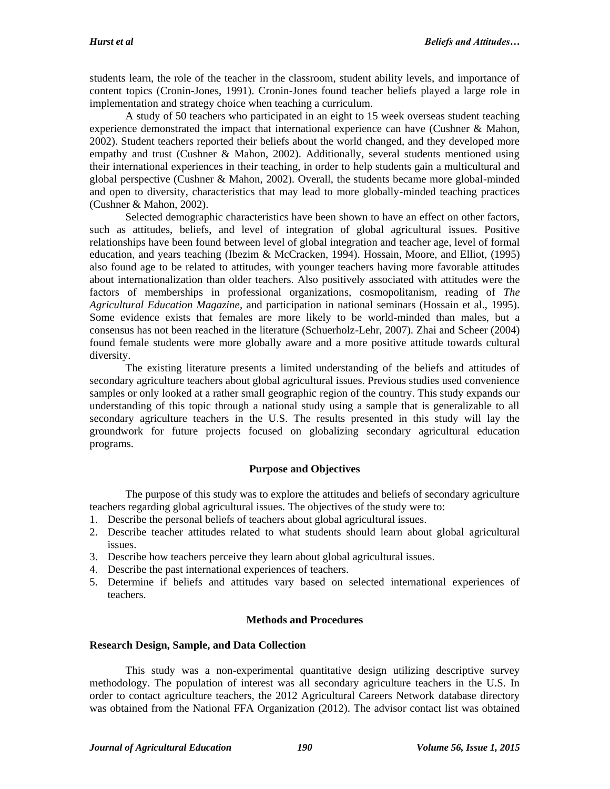students learn, the role of the teacher in the classroom, student ability levels, and importance of content topics (Cronin-Jones, 1991). Cronin-Jones found teacher beliefs played a large role in implementation and strategy choice when teaching a curriculum.

A study of 50 teachers who participated in an eight to 15 week overseas student teaching experience demonstrated the impact that international experience can have (Cushner & Mahon, 2002). Student teachers reported their beliefs about the world changed, and they developed more empathy and trust (Cushner & Mahon, 2002). Additionally, several students mentioned using their international experiences in their teaching, in order to help students gain a multicultural and global perspective (Cushner & Mahon, 2002). Overall, the students became more global-minded and open to diversity, characteristics that may lead to more globally-minded teaching practices (Cushner & Mahon, 2002).

Selected demographic characteristics have been shown to have an effect on other factors, such as attitudes, beliefs, and level of integration of global agricultural issues. Positive relationships have been found between level of global integration and teacher age, level of formal education, and years teaching (Ibezim & McCracken, 1994). Hossain, Moore, and Elliot, (1995) also found age to be related to attitudes, with younger teachers having more favorable attitudes about internationalization than older teachers. Also positively associated with attitudes were the factors of memberships in professional organizations, cosmopolitanism, reading of *The Agricultural Education Magazine*, and participation in national seminars (Hossain et al., 1995). Some evidence exists that females are more likely to be world-minded than males, but a consensus has not been reached in the literature (Schuerholz-Lehr, 2007). Zhai and Scheer (2004) found female students were more globally aware and a more positive attitude towards cultural diversity.

The existing literature presents a limited understanding of the beliefs and attitudes of secondary agriculture teachers about global agricultural issues. Previous studies used convenience samples or only looked at a rather small geographic region of the country. This study expands our understanding of this topic through a national study using a sample that is generalizable to all secondary agriculture teachers in the U.S. The results presented in this study will lay the groundwork for future projects focused on globalizing secondary agricultural education programs.

#### **Purpose and Objectives**

The purpose of this study was to explore the attitudes and beliefs of secondary agriculture teachers regarding global agricultural issues. The objectives of the study were to:

- 1. Describe the personal beliefs of teachers about global agricultural issues.
- 2. Describe teacher attitudes related to what students should learn about global agricultural issues.
- 3. Describe how teachers perceive they learn about global agricultural issues.
- 4. Describe the past international experiences of teachers.
- 5. Determine if beliefs and attitudes vary based on selected international experiences of teachers.

#### **Methods and Procedures**

#### **Research Design, Sample, and Data Collection**

This study was a non-experimental quantitative design utilizing descriptive survey methodology. The population of interest was all secondary agriculture teachers in the U.S. In order to contact agriculture teachers, the 2012 Agricultural Careers Network database directory was obtained from the National FFA Organization (2012). The advisor contact list was obtained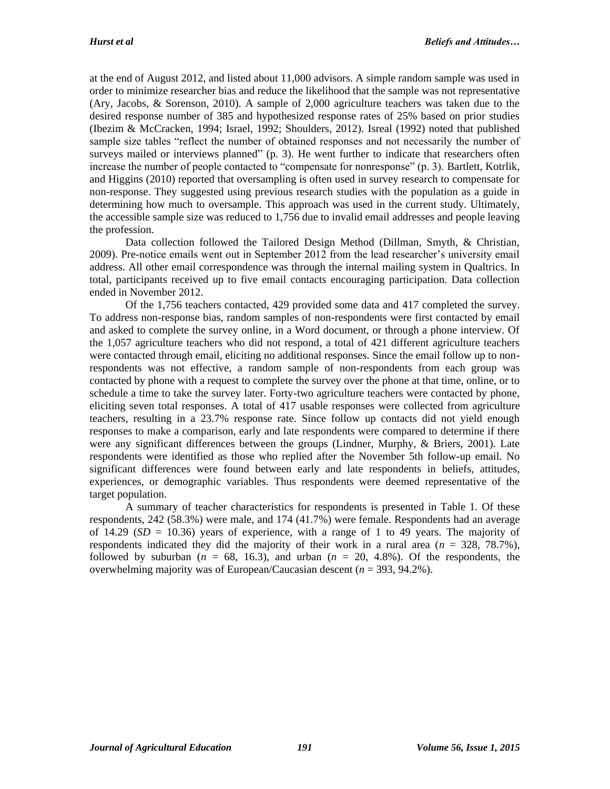at the end of August 2012, and listed about 11,000 advisors. A simple random sample was used in order to minimize researcher bias and reduce the likelihood that the sample was not representative (Ary, Jacobs, & Sorenson, 2010). A sample of 2,000 agriculture teachers was taken due to the desired response number of 385 and hypothesized response rates of 25% based on prior studies (Ibezim & McCracken, 1994; Israel, 1992; Shoulders, 2012). Isreal (1992) noted that published sample size tables "reflect the number of obtained responses and not necessarily the number of surveys mailed or interviews planned" (p. 3). He went further to indicate that researchers often increase the number of people contacted to "compensate for nonresponse" (p. 3). Bartlett, Kotrlik, and Higgins (2010) reported that oversampling is often used in survey research to compensate for non-response. They suggested using previous research studies with the population as a guide in determining how much to oversample. This approach was used in the current study. Ultimately, the accessible sample size was reduced to 1,756 due to invalid email addresses and people leaving the profession.

Data collection followed the Tailored Design Method (Dillman, Smyth, & Christian, 2009). Pre-notice emails went out in September 2012 from the lead researcher's university email address. All other email correspondence was through the internal mailing system in Qualtrics. In total, participants received up to five email contacts encouraging participation. Data collection ended in November 2012.

Of the 1,756 teachers contacted, 429 provided some data and 417 completed the survey. To address non-response bias, random samples of non-respondents were first contacted by email and asked to complete the survey online, in a Word document, or through a phone interview. Of the 1,057 agriculture teachers who did not respond, a total of 421 different agriculture teachers were contacted through email, eliciting no additional responses. Since the email follow up to nonrespondents was not effective, a random sample of non-respondents from each group was contacted by phone with a request to complete the survey over the phone at that time, online, or to schedule a time to take the survey later. Forty-two agriculture teachers were contacted by phone, eliciting seven total responses. A total of 417 usable responses were collected from agriculture teachers, resulting in a 23.7% response rate. Since follow up contacts did not yield enough responses to make a comparison, early and late respondents were compared to determine if there were any significant differences between the groups (Lindner, Murphy, & Briers, 2001). Late respondents were identified as those who replied after the November 5th follow-up email. No significant differences were found between early and late respondents in beliefs, attitudes, experiences, or demographic variables. Thus respondents were deemed representative of the target population.

A summary of teacher characteristics for respondents is presented in Table 1. Of these respondents, 242 (58.3%) were male, and 174 (41.7%) were female. Respondents had an average of 14.29  $(SD = 10.36)$  years of experience, with a range of 1 to 49 years. The majority of respondents indicated they did the majority of their work in a rural area  $(n = 328, 78.7\%)$ , followed by suburban ( $n = 68$ , 16.3), and urban ( $n = 20$ , 4.8%). Of the respondents, the overwhelming majority was of European/Caucasian descent (*n* = 393, 94.2%).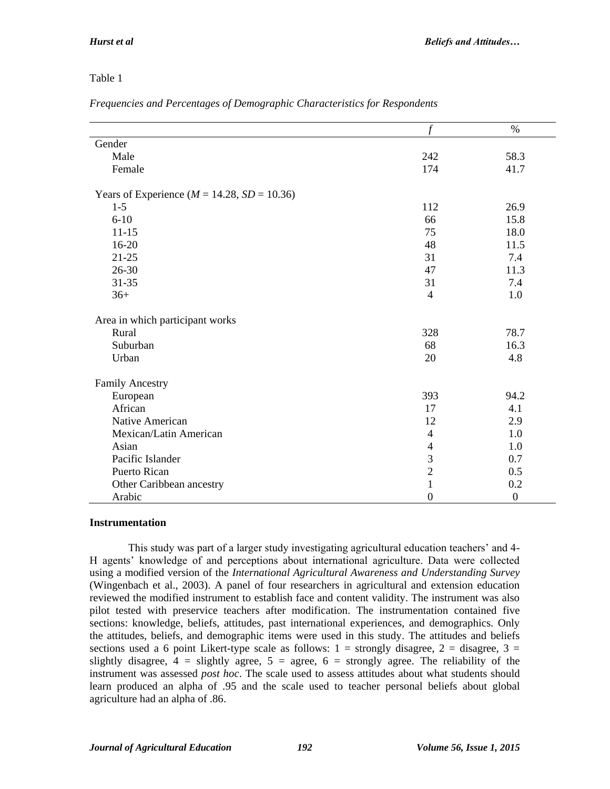# Table 1

| Frequencies and Percentages of Demographic Characteristics for Respondents |  |  |  |
|----------------------------------------------------------------------------|--|--|--|
|                                                                            |  |  |  |

|                                                    | f                        | $\%$           |
|----------------------------------------------------|--------------------------|----------------|
| Gender                                             |                          |                |
| Male                                               | 242                      | 58.3           |
| Female                                             | 174                      | 41.7           |
| Years of Experience ( $M = 14.28$ , $SD = 10.36$ ) |                          |                |
| $1-5$                                              | 112                      | 26.9           |
| $6 - 10$                                           | 66                       | 15.8           |
| $11 - 15$                                          | 75                       | 18.0           |
| 16-20                                              | 48                       | 11.5           |
| $21 - 25$                                          | 31                       | 7.4            |
| 26-30                                              | 47                       | 11.3           |
| $31 - 35$                                          | 31                       | 7.4            |
| $36+$                                              | $\overline{4}$           | 1.0            |
| Area in which participant works                    |                          |                |
| Rural                                              | 328                      | 78.7           |
| Suburban                                           | 68                       | 16.3           |
| Urban                                              | 20                       | 4.8            |
| Family Ancestry                                    |                          |                |
| European                                           | 393                      | 94.2           |
| African                                            | 17                       | 4.1            |
| Native American                                    | 12                       | 2.9            |
| Mexican/Latin American                             | $\overline{4}$           | 1.0            |
| Asian                                              | $\overline{\mathcal{A}}$ | 1.0            |
| Pacific Islander                                   | 3                        | 0.7            |
| Puerto Rican                                       | $\overline{2}$           | 0.5            |
| Other Caribbean ancestry                           | $\mathbf{1}$             | 0.2            |
| Arabic                                             | $\boldsymbol{0}$         | $\overline{0}$ |

#### **Instrumentation**

This study was part of a larger study investigating agricultural education teachers' and 4- H agents' knowledge of and perceptions about international agriculture. Data were collected using a modified version of the *International Agricultural Awareness and Understanding Survey* (Wingenbach et al., 2003). A panel of four researchers in agricultural and extension education reviewed the modified instrument to establish face and content validity. The instrument was also pilot tested with preservice teachers after modification. The instrumentation contained five sections: knowledge, beliefs, attitudes, past international experiences, and demographics. Only the attitudes, beliefs, and demographic items were used in this study. The attitudes and beliefs sections used a 6 point Likert-type scale as follows:  $1 =$  strongly disagree,  $2 =$  disagree,  $3 =$ slightly disagree,  $4 =$  slightly agree,  $5 =$  agree,  $6 =$  strongly agree. The reliability of the instrument was assessed *post hoc*. The scale used to assess attitudes about what students should learn produced an alpha of .95 and the scale used to teacher personal beliefs about global agriculture had an alpha of .86.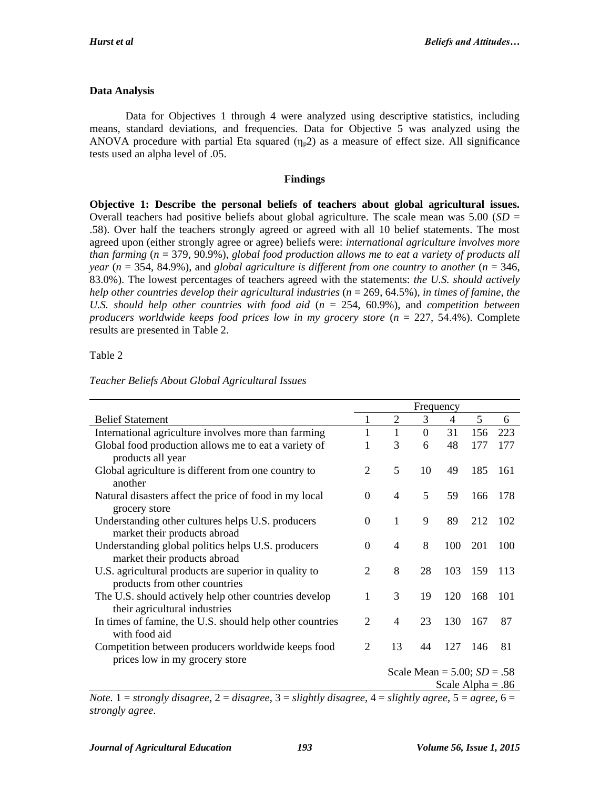# **Data Analysis**

Data for Objectives 1 through 4 were analyzed using descriptive statistics, including means, standard deviations, and frequencies. Data for Objective 5 was analyzed using the ANOVA procedure with partial Eta squared  $(\eta_p 2)$  as a measure of effect size. All significance tests used an alpha level of .05.

#### **Findings**

**Objective 1: Describe the personal beliefs of teachers about global agricultural issues.** Overall teachers had positive beliefs about global agriculture. The scale mean was 5.00 (*SD* = .58). Over half the teachers strongly agreed or agreed with all 10 belief statements. The most agreed upon (either strongly agree or agree) beliefs were: *international agriculture involves more than farming* (*n* = 379, 90.9%), *global food production allows me to eat a variety of products all year* ( $n = 354, 84.9%$ ), and *global agriculture is different from one country to another* ( $n = 346$ , 83.0%). The lowest percentages of teachers agreed with the statements: *the U.S. should actively help other countries develop their agricultural industries* (*n* = 269, 64.5%), *in times of famine, the U.S. should help other countries with food aid* (*n* = 254, 60.9%), and *competition between producers worldwide keeps food prices low in my grocery store* (*n* = 227, 54.4%). Complete results are presented in Table 2.

#### Table 2

|                                                                                        | Frequency      |                |                |                               |     |      |
|----------------------------------------------------------------------------------------|----------------|----------------|----------------|-------------------------------|-----|------|
| <b>Belief Statement</b>                                                                | 1              | $\overline{2}$ | 3              | 4                             | 5   | 6    |
| International agriculture involves more than farming                                   | 1              | 1              | $\overline{0}$ | 31                            | 156 | 223  |
| Global food production allows me to eat a variety of<br>products all year              | 1              | 3              | 6              | 48                            | 177 | 177  |
| Global agriculture is different from one country to<br>another                         | $\overline{2}$ | 5              | 10             | 49                            | 185 | 161  |
| Natural disasters affect the price of food in my local<br>grocery store                | $\theta$       | 4              | 5              | 59                            | 166 | -178 |
| Understanding other cultures helps U.S. producers<br>market their products abroad      | $\overline{0}$ | $\mathbf{1}$   | 9              | 89                            | 212 | 102  |
| Understanding global politics helps U.S. producers<br>market their products abroad     | $\theta$       | 4              | 8              | 100                           | 201 | 100  |
| U.S. agricultural products are superior in quality to<br>products from other countries | $\overline{2}$ | 8              | 28             | 103                           | 159 | 113  |
| The U.S. should actively help other countries develop<br>their agricultural industries | 1              | 3              | 19             | 120                           | 168 | 101  |
| In times of famine, the U.S. should help other countries<br>with food aid              | 2              | 4              | 23             | 130                           | 167 | 87   |
| Competition between producers worldwide keeps food<br>prices low in my grocery store   | $\mathfrak{D}$ | 13             | 44             | 127                           | 146 | 81   |
|                                                                                        |                |                |                | Scale Mean = $5.00; SD = .58$ |     |      |
|                                                                                        |                |                |                | Scale Alpha = $.86$           |     |      |

*Note.*  $1 =$  *strongly disagree,*  $2 =$  *disagree,*  $3 =$  *slightly disagree,*  $4 =$  *slightly agree,*  $5 =$  *agree,*  $6 =$ *strongly agree*.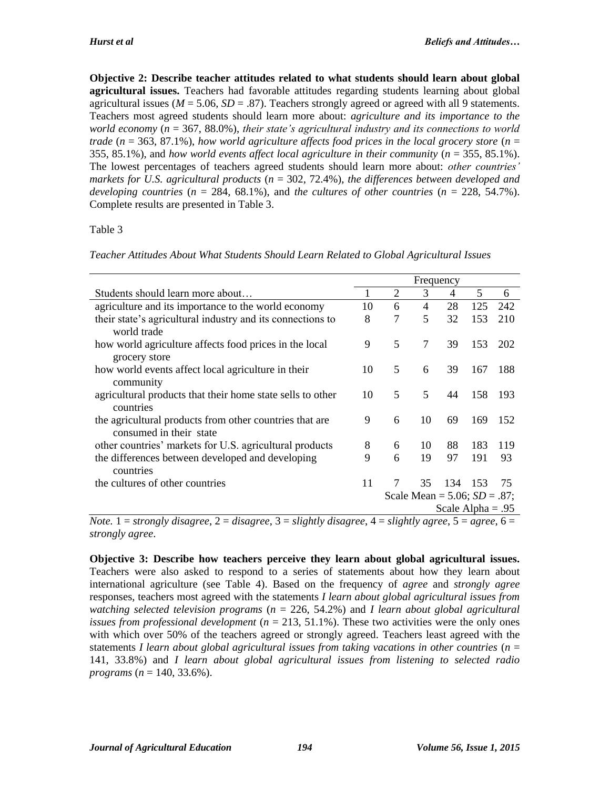**Objective 2: Describe teacher attitudes related to what students should learn about global agricultural issues.** Teachers had favorable attitudes regarding students learning about global agricultural issues ( $M = 5.06$ ,  $SD = .87$ ). Teachers strongly agreed or agreed with all 9 statements. Teachers most agreed students should learn more about: *agriculture and its importance to the world economy* (*n* = 367, 88.0%), *their state's agricultural industry and its connections to world trade* ( $n = 363, 87.1\%$ ), *how world agriculture affects food prices in the local grocery store* ( $n =$ 355, 85.1%), and *how world events affect local agriculture in their community* (*n* = 355, 85.1%). The lowest percentages of teachers agreed students should learn more about: *other countries' markets for U.S. agricultural products* (*n* = 302, 72.4%), *the differences between developed and developing countries* ( $n = 284, 68.1\%$ ), and *the cultures of other countries* ( $n = 228, 54.7\%$ ). Complete results are presented in Table 3.

# Table 3

*Teacher Attitudes About What Students Should Learn Related to Global Agricultural Issues*

|                                                            | Frequency |                                    |        |                     |     |      |  |
|------------------------------------------------------------|-----------|------------------------------------|--------|---------------------|-----|------|--|
| Students should learn more about                           | 1         | 2                                  | 3      | 4                   | 5   | 6    |  |
| agriculture and its importance to the world economy        | 10        | 6                                  | 4      | 28                  | 125 | 242  |  |
| their state's agricultural industry and its connections to | 8         | 7                                  | 5      | 32                  | 153 | 210  |  |
| world trade                                                |           |                                    |        |                     |     |      |  |
| how world agriculture affects food prices in the local     | 9         | 5                                  | $\tau$ | 39                  | 153 | 202  |  |
| grocery store                                              |           |                                    |        |                     |     |      |  |
| how world events affect local agriculture in their         | 10        | 5                                  | 6      | 39                  | 167 | -188 |  |
| community                                                  |           |                                    |        |                     |     |      |  |
| agricultural products that their home state sells to other | 10        | 5                                  | 5      | 44                  | 158 | 193  |  |
| countries                                                  |           |                                    |        |                     |     |      |  |
| the agricultural products from other countries that are    | 9         | 6                                  | 10     | 69                  | 169 | 152  |  |
| consumed in their state                                    |           |                                    |        |                     |     |      |  |
| other countries' markets for U.S. agricultural products    | 8         | 6                                  | 10     | 88                  | 183 | 119  |  |
| the differences between developed and developing           | 9         | 6                                  | 19     | 97                  | 191 | 93   |  |
| countries                                                  |           |                                    |        |                     |     |      |  |
| the cultures of other countries                            | 11        | 7                                  | 35     | 134                 | 153 | 75   |  |
|                                                            |           | Scale Mean = $5.06$ ; $SD = .87$ ; |        |                     |     |      |  |
|                                                            |           |                                    |        | Scale Alpha = $.95$ |     |      |  |

*Note.*  $1 =$  *strongly disagree,*  $2 =$  *disagree,*  $3 =$  *slightly disagree,*  $4 =$  *slightly agree,*  $5 =$  *agree,*  $6 =$ *strongly agree*.

**Objective 3: Describe how teachers perceive they learn about global agricultural issues.** Teachers were also asked to respond to a series of statements about how they learn about international agriculture (see Table 4). Based on the frequency of *agree* and *strongly agree* responses, teachers most agreed with the statements *I learn about global agricultural issues from watching selected television programs* (*n* = 226, 54.2%) and *I learn about global agricultural issues from professional development*  $(n = 213, 51.1\%)$ . These two activities were the only ones with which over 50% of the teachers agreed or strongly agreed. Teachers least agreed with the statements *I learn about global agricultural issues from taking vacations in other countries* (*n* = 141, 33.8%) and *I learn about global agricultural issues from listening to selected radio programs*  $(n = 140, 33.6\%)$ .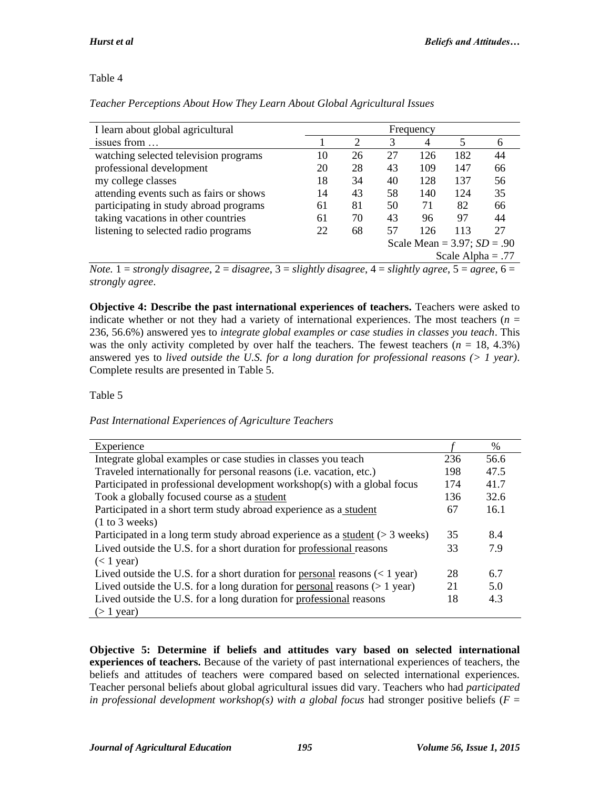# Table 4

*Teacher Perceptions About How They Learn About Global Agricultural Issues*

| I learn about global agricultural       | Frequency |                |                               |     |     |    |  |  |  |
|-----------------------------------------|-----------|----------------|-------------------------------|-----|-----|----|--|--|--|
| issues from                             |           | $\overline{2}$ | 3                             | 4   |     | 6  |  |  |  |
| watching selected television programs   | 10        | 26             | 27                            | 126 | 182 | 44 |  |  |  |
| professional development                | 20        | 28             | 43                            | 109 | 147 | 66 |  |  |  |
| my college classes                      | 18        | 34             | 40                            | 128 | 137 | 56 |  |  |  |
| attending events such as fairs or shows | 14        | 43             | 58                            | 140 | 124 | 35 |  |  |  |
| participating in study abroad programs  | 61        | 81             | 50                            | 71  | 82  | 66 |  |  |  |
| taking vacations in other countries     | 61        | 70             | 43                            | 96  | 97  | 44 |  |  |  |
| listening to selected radio programs    | 22        | 68             | 57                            | 126 | 113 | 27 |  |  |  |
|                                         |           |                | Scale Mean = $3.97; SD = .90$ |     |     |    |  |  |  |
|                                         |           |                | Scale Alpha = $.77$           |     |     |    |  |  |  |

*Note.* 1 = *strongly disagree,* 2 = *disagree,* 3 = *slightly disagree,* 4 = *slightly agree,* 5 = *agree,* 6 = *strongly agree*.

**Objective 4: Describe the past international experiences of teachers.** Teachers were asked to indicate whether or not they had a variety of international experiences. The most teachers  $(n =$ 236, 56.6%) answered yes to *integrate global examples or case studies in classes you teach*. This was the only activity completed by over half the teachers. The fewest teachers  $(n = 18, 4.3\%)$ answered yes to *lived outside the U.S. for a long duration for professional reasons (> 1 year)*. Complete results are presented in Table 5.

# Table 5

*Past International Experiences of Agriculture Teachers*

| Experience                                                                      |     | $\%$ |
|---------------------------------------------------------------------------------|-----|------|
| Integrate global examples or case studies in classes you teach                  | 236 | 56.6 |
| Traveled internationally for personal reasons (i.e. vacation, etc.)             | 198 | 47.5 |
| Participated in professional development workshop(s) with a global focus        | 174 | 41.7 |
| Took a globally focused course as a student                                     | 136 | 32.6 |
| Participated in a short term study abroad experience as a student               | 67  | 16.1 |
| (1 to 3 weeks)                                                                  |     |      |
| Participated in a long term study abroad experience as a student ( $>$ 3 weeks) | 35  | 8.4  |
| Lived outside the U.S. for a short duration for professional reasons            | 33  | 7.9  |
| $(< 1$ year)                                                                    |     |      |
| Lived outside the U.S. for a short duration for personal reasons $(< 1$ year)   | 28  | 6.7  |
| Lived outside the U.S. for a long duration for personal reasons $(>1$ year)     | 21  | 5.0  |
| Lived outside the U.S. for a long duration for professional reasons             | 18  | 4.3  |
| $($ 1 year)                                                                     |     |      |

**Objective 5: Determine if beliefs and attitudes vary based on selected international experiences of teachers.** Because of the variety of past international experiences of teachers, the beliefs and attitudes of teachers were compared based on selected international experiences. Teacher personal beliefs about global agricultural issues did vary. Teachers who had *participated in professional development workshop(s) with a global focus* had stronger positive beliefs ( $F =$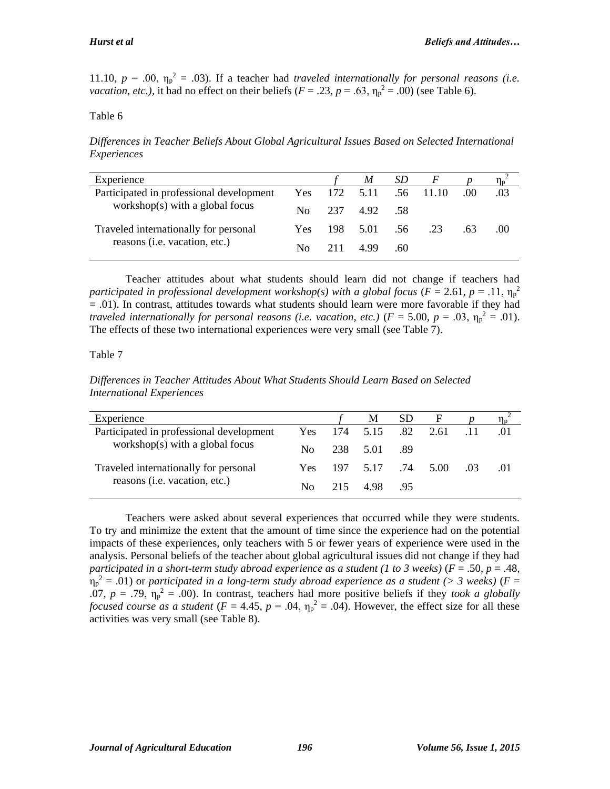11.10,  $p = .00$ ,  $\eta_p^2 = .03$ ). If a teacher had *traveled internationally for personal reasons (i.e. vacation, etc.),* it had no effect on their beliefs ( $F = .23$ ,  $p = .63$ ,  $\eta_p^2 = .00$ ) (see Table 6).

#### Table 6

*Differences in Teacher Beliefs About Global Agricultural Issues Based on Selected International Experiences*

| Experience                                                                     |            |       | M                  | SD.  | F   |      |     |
|--------------------------------------------------------------------------------|------------|-------|--------------------|------|-----|------|-----|
| Participated in professional development<br>workshop(s) with a global focus    | <b>Yes</b> |       | 172 5.11 .56 11.10 |      |     | .00. | .03 |
|                                                                                | No.        |       | 237 492            | - 58 |     |      |     |
| Traveled internationally for personal<br>reasons ( <i>i.e.</i> vacation, etc.) | Yes.       | - 198 | 5.01 56            |      | .23 | .63  | .00 |
|                                                                                | No.        | 211   | 4.99               | .60  |     |      |     |

Teacher attitudes about what students should learn did not change if teachers had *participated in professional development workshop(s) with a global focus (* $F = 2.61$ *,*  $p = .11$ *,*  $\eta_p^2$ = .01). In contrast, attitudes towards what students should learn were more favorable if they had *traveled internationally for personal reasons (i.e. vacation, etc.)*  $(F = 5.00, p = .03, \eta_p^2 = .01)$ . The effects of these two international experiences were very small (see Table 7).

#### Table 7

*Differences in Teacher Attitudes About What Students Should Learn Based on Selected International Experiences*

| Experience                                                                  |      |          | M                 | SD.  | - F  |  |
|-----------------------------------------------------------------------------|------|----------|-------------------|------|------|--|
| Participated in professional development<br>workshop(s) with a global focus | Yes- | 174 5.15 |                   | .82  | 2.61 |  |
|                                                                             | No.  |          | 238 5.01          | - 89 |      |  |
| Traveled internationally for personal<br>reasons (i.e. vacation, etc.)      | Yes. |          | 197 5.17 .74 5.00 |      |      |  |
|                                                                             | No.  |          | 215 498           | - 95 |      |  |

Teachers were asked about several experiences that occurred while they were students. To try and minimize the extent that the amount of time since the experience had on the potential impacts of these experiences, only teachers with 5 or fewer years of experience were used in the analysis. Personal beliefs of the teacher about global agricultural issues did not change if they had *participated in a short-term study abroad experience as a student (1 to 3 weeks)* (*F* = .50, *p* = .48,  $\eta_p^2 = .01$ ) or *participated in a long-term study abroad experience as a student (> 3 weeks)* ( $F =$ .07,  $p = .79$ ,  $\eta_p^2 = .00$ ). In contrast, teachers had more positive beliefs if they *took a globally focused course as a student* ( $F = 4.45$ ,  $p = .04$ ,  $\eta_p^2 = .04$ ). However, the effect size for all these activities was very small (see Table 8).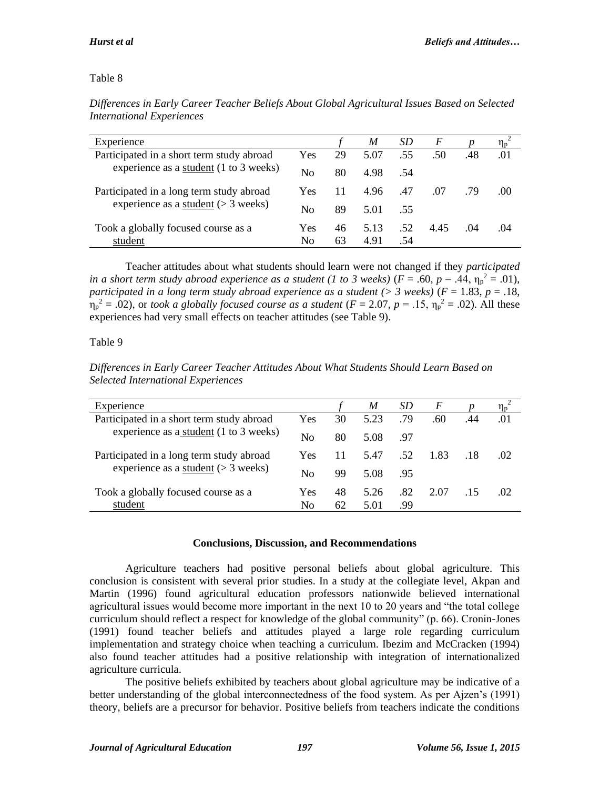# Table 8

| Experience                                                                                |                |    | M    | SD  | F    |      | $\eta_{\scriptscriptstyle \rm D}$ |
|-------------------------------------------------------------------------------------------|----------------|----|------|-----|------|------|-----------------------------------|
| Participated in a short term study abroad<br>experience as a student (1 to 3 weeks)       | Yes            | 29 | 5.07 | .55 | .50  | .48  | .01                               |
|                                                                                           | N <sub>0</sub> | 80 | 4.98 | -54 |      |      |                                   |
| Participated in a long term study abroad<br>experience as a <u>student</u> ( $>$ 3 weeks) | Yes            | 11 | 4.96 | .47 | .07  | .79  | .00                               |
|                                                                                           | No             | 89 | 5.01 | .55 |      |      |                                   |
| Took a globally focused course as a                                                       | Yes            | 46 | 5.13 | .52 | 4.45 | (1)4 | .04                               |
| student                                                                                   | No             | 63 | 4.91 | .54 |      |      |                                   |

*Differences in Early Career Teacher Beliefs About Global Agricultural Issues Based on Selected International Experiences*

Teacher attitudes about what students should learn were not changed if they *participated in a short term study abroad experience as a student (1 to 3 weeks)* ( $F = .60$ ,  $p = .44$ ,  $\eta_p^2 = .01$ ), *participated in a long term study abroad experience as a student (> 3 weeks)* (*F* = 1.83, *p* = .18,  $\eta_p^2 = .02$ ), or *took a globally focused course as a student* ( $F = 2.07$ ,  $p = .15$ ,  $\eta_p^2 = .02$ ). All these experiences had very small effects on teacher attitudes (see Table 9).

# Table 9

| Selected International Experiences                                                  |            |    |      |           |          |     |                 |
|-------------------------------------------------------------------------------------|------------|----|------|-----------|----------|-----|-----------------|
| Experience                                                                          |            |    | M    | <i>SD</i> | $\bm{F}$ |     |                 |
| Participated in a short term study abroad<br>experience as a student (1 to 3 weeks) | <b>Yes</b> | 30 | 5.23 | .79       | .60      | .44 | .01             |
|                                                                                     | No         | 80 | 5.08 | - 97      |          |     |                 |
| Participated in a long term study abroad<br>experience as a student $(> 3$ weeks)   | Yes        | 11 | 5.47 | .52       | 1.83     |     | 02 <sub>1</sub> |
|                                                                                     | No         | 99 | 5.08 | .95       |          |     |                 |

*Differences in Early Career Teacher Attitudes About What Students Should Learn Based on Selected International Experiences*

#### **Conclusions, Discussion, and Recommendations**

Yes 48 5.26 .82 2.07 .15 .02

No 62 5.01 .99

Agriculture teachers had positive personal beliefs about global agriculture. This conclusion is consistent with several prior studies. In a study at the collegiate level, Akpan and Martin (1996) found agricultural education professors nationwide believed international agricultural issues would become more important in the next 10 to 20 years and "the total college curriculum should reflect a respect for knowledge of the global community" (p. 66). Cronin-Jones (1991) found teacher beliefs and attitudes played a large role regarding curriculum implementation and strategy choice when teaching a curriculum. Ibezim and McCracken (1994) also found teacher attitudes had a positive relationship with integration of internationalized agriculture curricula.

The positive beliefs exhibited by teachers about global agriculture may be indicative of a better understanding of the global interconnectedness of the food system. As per Ajzen's (1991) theory, beliefs are a precursor for behavior. Positive beliefs from teachers indicate the conditions

Took a globally focused course as a

student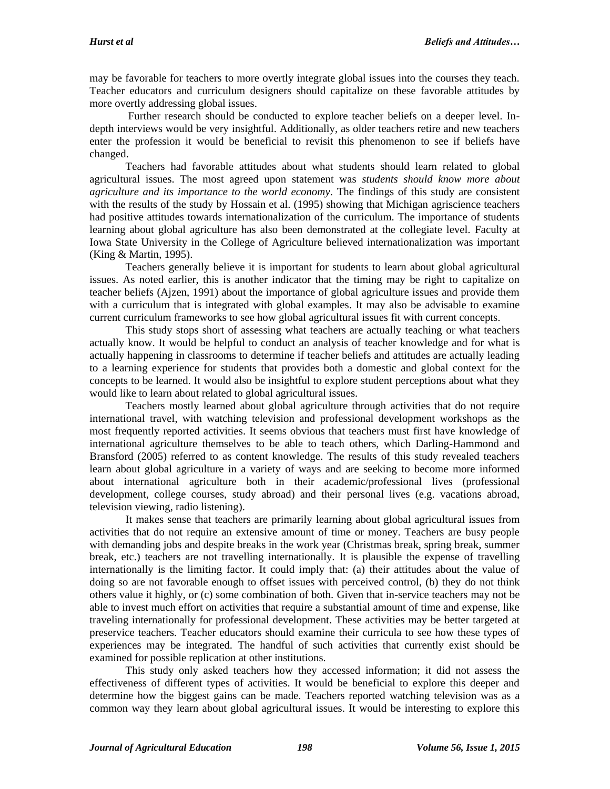may be favorable for teachers to more overtly integrate global issues into the courses they teach. Teacher educators and curriculum designers should capitalize on these favorable attitudes by more overtly addressing global issues.

Further research should be conducted to explore teacher beliefs on a deeper level. Indepth interviews would be very insightful. Additionally, as older teachers retire and new teachers enter the profession it would be beneficial to revisit this phenomenon to see if beliefs have changed.

Teachers had favorable attitudes about what students should learn related to global agricultural issues. The most agreed upon statement was *students should know more about agriculture and its importance to the world economy*. The findings of this study are consistent with the results of the study by Hossain et al. (1995) showing that Michigan agriscience teachers had positive attitudes towards internationalization of the curriculum. The importance of students learning about global agriculture has also been demonstrated at the collegiate level. Faculty at Iowa State University in the College of Agriculture believed internationalization was important (King & Martin, 1995).

Teachers generally believe it is important for students to learn about global agricultural issues. As noted earlier, this is another indicator that the timing may be right to capitalize on teacher beliefs (Ajzen, 1991) about the importance of global agriculture issues and provide them with a curriculum that is integrated with global examples. It may also be advisable to examine current curriculum frameworks to see how global agricultural issues fit with current concepts.

This study stops short of assessing what teachers are actually teaching or what teachers actually know. It would be helpful to conduct an analysis of teacher knowledge and for what is actually happening in classrooms to determine if teacher beliefs and attitudes are actually leading to a learning experience for students that provides both a domestic and global context for the concepts to be learned. It would also be insightful to explore student perceptions about what they would like to learn about related to global agricultural issues.

Teachers mostly learned about global agriculture through activities that do not require international travel, with watching television and professional development workshops as the most frequently reported activities. It seems obvious that teachers must first have knowledge of international agriculture themselves to be able to teach others, which Darling-Hammond and Bransford (2005) referred to as content knowledge. The results of this study revealed teachers learn about global agriculture in a variety of ways and are seeking to become more informed about international agriculture both in their academic/professional lives (professional development, college courses, study abroad) and their personal lives (e.g. vacations abroad, television viewing, radio listening).

It makes sense that teachers are primarily learning about global agricultural issues from activities that do not require an extensive amount of time or money. Teachers are busy people with demanding jobs and despite breaks in the work year (Christmas break, spring break, summer break, etc.) teachers are not travelling internationally. It is plausible the expense of travelling internationally is the limiting factor. It could imply that: (a) their attitudes about the value of doing so are not favorable enough to offset issues with perceived control, (b) they do not think others value it highly, or (c) some combination of both. Given that in-service teachers may not be able to invest much effort on activities that require a substantial amount of time and expense, like traveling internationally for professional development. These activities may be better targeted at preservice teachers. Teacher educators should examine their curricula to see how these types of experiences may be integrated. The handful of such activities that currently exist should be examined for possible replication at other institutions.

This study only asked teachers how they accessed information; it did not assess the effectiveness of different types of activities. It would be beneficial to explore this deeper and determine how the biggest gains can be made. Teachers reported watching television was as a common way they learn about global agricultural issues. It would be interesting to explore this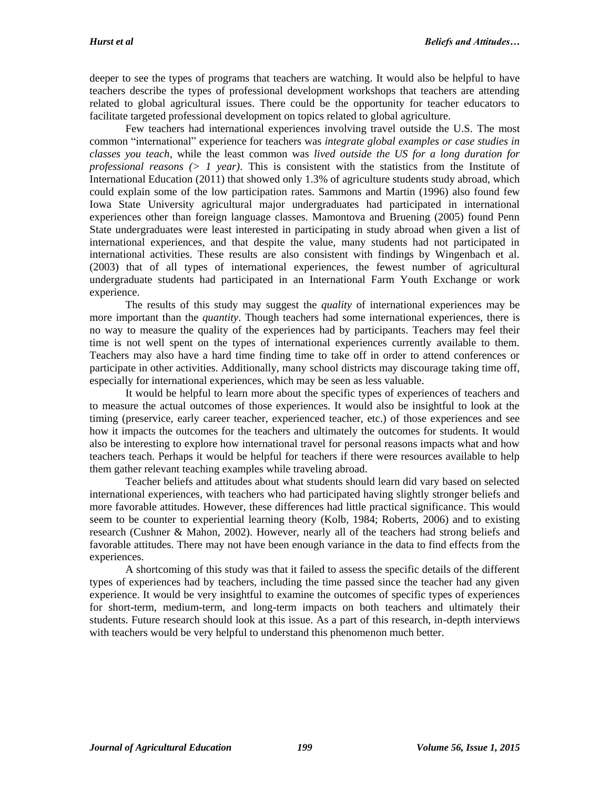deeper to see the types of programs that teachers are watching. It would also be helpful to have teachers describe the types of professional development workshops that teachers are attending related to global agricultural issues. There could be the opportunity for teacher educators to facilitate targeted professional development on topics related to global agriculture.

Few teachers had international experiences involving travel outside the U.S. The most common "international" experience for teachers was *integrate global examples or case studies in classes you teach*, while the least common was *lived outside the US for a long duration for professional reasons (> 1 year)*. This is consistent with the statistics from the Institute of International Education (2011) that showed only 1.3% of agriculture students study abroad, which could explain some of the low participation rates. Sammons and Martin (1996) also found few Iowa State University agricultural major undergraduates had participated in international experiences other than foreign language classes. Mamontova and Bruening (2005) found Penn State undergraduates were least interested in participating in study abroad when given a list of international experiences, and that despite the value, many students had not participated in international activities. These results are also consistent with findings by Wingenbach et al. (2003) that of all types of international experiences, the fewest number of agricultural undergraduate students had participated in an International Farm Youth Exchange or work experience.

The results of this study may suggest the *quality* of international experiences may be more important than the *quantity*. Though teachers had some international experiences, there is no way to measure the quality of the experiences had by participants. Teachers may feel their time is not well spent on the types of international experiences currently available to them. Teachers may also have a hard time finding time to take off in order to attend conferences or participate in other activities. Additionally, many school districts may discourage taking time off, especially for international experiences, which may be seen as less valuable.

It would be helpful to learn more about the specific types of experiences of teachers and to measure the actual outcomes of those experiences. It would also be insightful to look at the timing (preservice, early career teacher, experienced teacher, etc.) of those experiences and see how it impacts the outcomes for the teachers and ultimately the outcomes for students. It would also be interesting to explore how international travel for personal reasons impacts what and how teachers teach. Perhaps it would be helpful for teachers if there were resources available to help them gather relevant teaching examples while traveling abroad.

Teacher beliefs and attitudes about what students should learn did vary based on selected international experiences, with teachers who had participated having slightly stronger beliefs and more favorable attitudes. However, these differences had little practical significance. This would seem to be counter to experiential learning theory (Kolb, 1984; Roberts, 2006) and to existing research (Cushner & Mahon, 2002). However, nearly all of the teachers had strong beliefs and favorable attitudes. There may not have been enough variance in the data to find effects from the experiences.

A shortcoming of this study was that it failed to assess the specific details of the different types of experiences had by teachers, including the time passed since the teacher had any given experience. It would be very insightful to examine the outcomes of specific types of experiences for short-term, medium-term, and long-term impacts on both teachers and ultimately their students. Future research should look at this issue. As a part of this research, in-depth interviews with teachers would be very helpful to understand this phenomenon much better.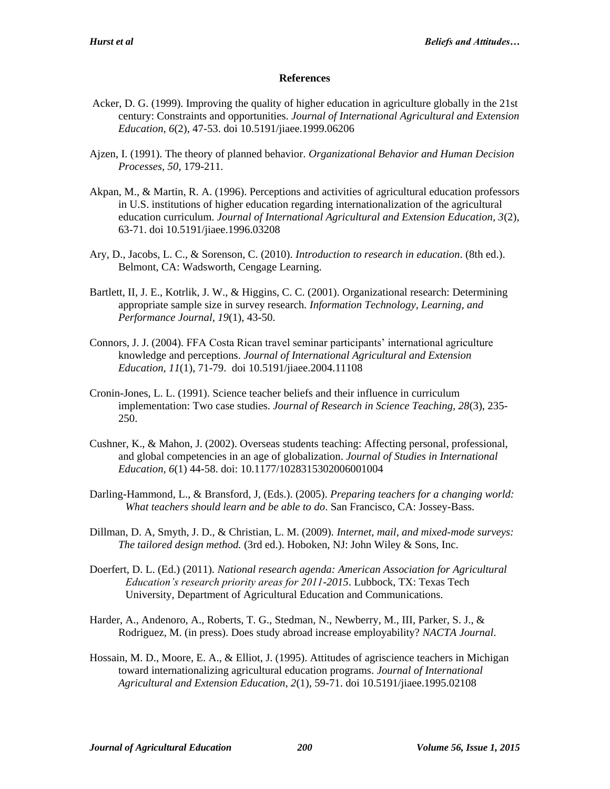#### **References**

- Acker, D. G. (1999). Improving the quality of higher education in agriculture globally in the 21st century: Constraints and opportunities. *Journal of International Agricultural and Extension Education, 6*(2), 47-53. doi 10.5191/jiaee.1999.06206
- Ajzen, I. (1991). The theory of planned behavior. *Organizational Behavior and Human Decision Processes, 50*, 179-211.
- Akpan, M., & Martin, R. A. (1996). Perceptions and activities of agricultural education professors in U.S. institutions of higher education regarding internationalization of the agricultural education curriculum. *Journal of International Agricultural and Extension Education, 3*(2), 63-71. doi 10.5191/jiaee.1996.03208
- Ary, D., Jacobs, L. C., & Sorenson, C. (2010). *Introduction to research in education*. (8th ed.). Belmont, CA: Wadsworth, Cengage Learning.
- Bartlett, II, J. E., Kotrlik, J. W., & Higgins, C. C. (2001). Organizational research: Determining appropriate sample size in survey research. *Information Technology, Learning, and Performance Journal, 19*(1), 43-50.
- Connors, J. J. (2004). FFA Costa Rican travel seminar participants' international agriculture knowledge and perceptions. *Journal of International Agricultural and Extension Education, 11*(1), 71-79. doi 10.5191/jiaee.2004.11108
- Cronin-Jones, L. L. (1991). Science teacher beliefs and their influence in curriculum implementation: Two case studies. *Journal of Research in Science Teaching, 28*(3), 235- 250.
- Cushner, K., & Mahon, J. (2002). Overseas students teaching: Affecting personal, professional, and global competencies in an age of globalization. *Journal of Studies in International Education, 6*(1) 44-58. doi: 10.1177/1028315302006001004
- Darling-Hammond, L., & Bransford, J, (Eds.). (2005). *Preparing teachers for a changing world: What teachers should learn and be able to do*. San Francisco, CA: Jossey-Bass.
- Dillman, D. A, Smyth, J. D., & Christian, L. M. (2009). *Internet, mail, and mixed-mode surveys: The tailored design method.* (3rd ed.). Hoboken, NJ: John Wiley & Sons, Inc.
- Doerfert, D. L. (Ed.) (2011). *National research agenda: American Association for Agricultural Education's research priority areas for 2011-2015*. Lubbock, TX: Texas Tech University, Department of Agricultural Education and Communications.
- Harder, A., Andenoro, A., Roberts, T. G., Stedman, N., Newberry, M., III, Parker, S. J., & Rodriguez, M. (in press). Does study abroad increase employability? *NACTA Journal*.
- Hossain, M. D., Moore, E. A., & Elliot, J. (1995). Attitudes of agriscience teachers in Michigan toward internationalizing agricultural education programs. *Journal of International Agricultural and Extension Education, 2*(1), 59-71. doi 10.5191/jiaee.1995.02108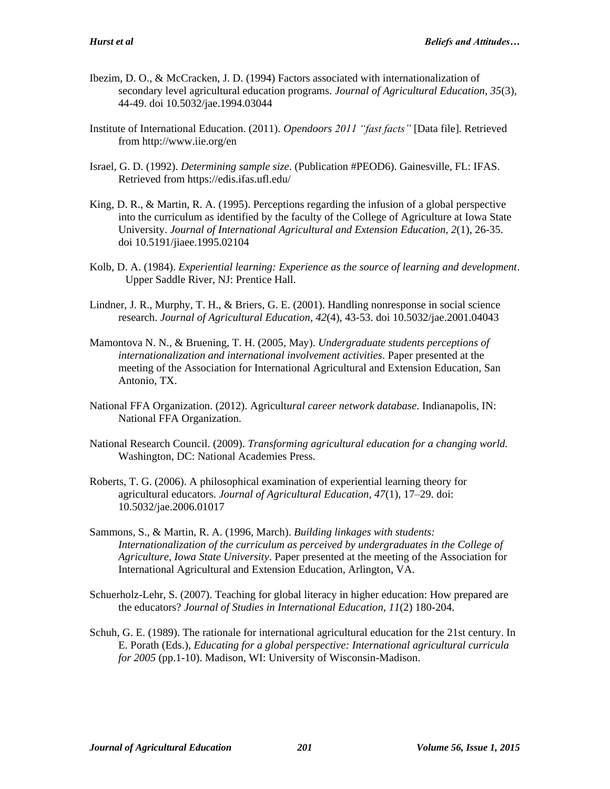- Ibezim, D. O., & McCracken, J. D. (1994) Factors associated with internationalization of secondary level agricultural education programs. *Journal of Agricultural Education, 35*(3), 44-49. doi 10.5032/jae.1994.03044
- Institute of International Education. (2011). *Opendoors 2011 "fast facts"* [Data file]. Retrieved from http://www.iie.org/en
- Israel, G. D. (1992). *Determining sample size*. (Publication #PEOD6). Gainesville, FL: IFAS. Retrieved from https://edis.ifas.ufl.edu/
- King, D. R., & Martin, R. A. (1995). Perceptions regarding the infusion of a global perspective into the curriculum as identified by the faculty of the College of Agriculture at Iowa State University. *Journal of International Agricultural and Extension Education, 2*(1), 26-35. doi 10.5191/jiaee.1995.02104
- Kolb, D. A. (1984). *Experiential learning: Experience as the source of learning and development*. Upper Saddle River, NJ: Prentice Hall.
- Lindner, J. R., Murphy, T. H., & Briers, G. E. (2001). Handling nonresponse in social science research. *Journal of Agricultural Education, 42*(4), 43-53. doi 10.5032/jae.2001.04043
- Mamontova N. N., & Bruening, T. H. (2005, May). *Undergraduate students perceptions of internationalization and international involvement activities*. Paper presented at the meeting of the Association for International Agricultural and Extension Education, San Antonio, TX.
- National FFA Organization. (2012). Agricult*ural career network database*. Indianapolis, IN: National FFA Organization.
- National Research Council. (2009). *Transforming agricultural education for a changing world.*  Washington, DC: National Academies Press.
- Roberts, T. G. (2006). A philosophical examination of experiential learning theory for agricultural educators. *Journal of Agricultural Education, 47*(1), 17–29. doi: 10.5032/jae.2006.01017
- Sammons, S., & Martin, R. A. (1996, March). *Building linkages with students: Internationalization of the curriculum as perceived by undergraduates in the College of Agriculture, Iowa State University*. Paper presented at the meeting of the Association for International Agricultural and Extension Education, Arlington, VA.
- Schuerholz-Lehr, S. (2007). Teaching for global literacy in higher education: How prepared are the educators? *Journal of Studies in International Education, 11*(2) 180-204.
- Schuh, G. E. (1989). The rationale for international agricultural education for the 21st century. In E. Porath (Eds.), *Educating for a global perspective: International agricultural curricula for 2005* (pp.1-10). Madison, WI: University of Wisconsin-Madison.